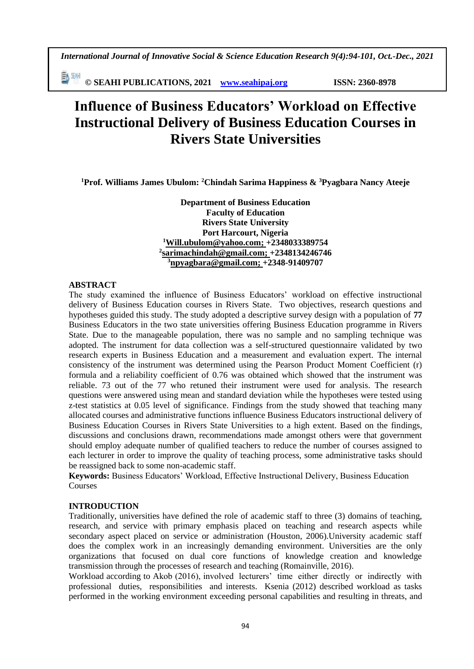勤卿 **© SEAHI PUBLICATIONS, 2021 [www.seahipaj.org](http://www.seahipaj.org/) ISSN: 2360-8978**

# **Influence of Business Educators' Workload on Effective Instructional Delivery of Business Education Courses in Rivers State Universities**

**<sup>1</sup>Prof. Williams James Ubulom: <sup>2</sup>Chindah Sarima Happiness & <sup>3</sup>Pyagbara Nancy Ateeje**

**Department of Business Education Faculty of Education Rivers State University Port Harcourt, Nigeria <sup>1</sup>[Will.ubulom@yahoo.com;](mailto:Will.ubulom@yahoo.com) +2348033389754 2 [sarimachindah@gmail.com;](mailto:sarimachindah@gmail.com) +2348134246746 <sup>3</sup>[npyagbara@gmail.com;](mailto:npyagbara@gmail.com) +2348-91409707**

### **ABSTRACT**

The study examined the influence of Business Educators' workload on effective instructional delivery of Business Education courses in Rivers State. Two objectives, research questions and hypotheses guided this study. The study adopted a descriptive survey design with a population of **77** Business Educators in the two state universities offering Business Education programme in Rivers State. Due to the manageable population, there was no sample and no sampling technique was adopted. The instrument for data collection was a self-structured questionnaire validated by two research experts in Business Education and a measurement and evaluation expert. The internal consistency of the instrument was determined using the Pearson Product Moment Coefficient (r) formula and a reliability coefficient of 0.76 was obtained which showed that the instrument was reliable. 73 out of the 77 who retuned their instrument were used for analysis. The research questions were answered using mean and standard deviation while the hypotheses were tested using z-test statistics at 0.05 level of significance. Findings from the study showed that teaching many allocated courses and administrative functions influence Business Educators instructional delivery of Business Education Courses in Rivers State Universities to a high extent. Based on the findings, discussions and conclusions drawn, recommendations made amongst others were that government should employ adequate number of qualified teachers to reduce the number of courses assigned to each lecturer in order to improve the quality of teaching process, some administrative tasks should be reassigned back to some non-academic staff.

**Keywords:** Business Educators' Workload, Effective Instructional Delivery, Business Education Courses

### **INTRODUCTION**

Traditionally, universities have defined the role of academic staff to three (3) domains of teaching, research, and service with primary emphasis placed on teaching and research aspects while secondary aspect placed on service or administration (Houston, 2006).University academic staff does the complex work in an increasingly demanding environment. Universities are the only organizations that focused on dual core functions of knowledge creation and knowledge transmission through the processes of research and teaching (Romainville, 2016).

Workload according to Akob (2016), involved lecturers' time either directly or indirectly with professional duties, responsibilities and interests. Ksenia (2012) described workload as tasks performed in the working environment exceeding personal capabilities and resulting in threats, and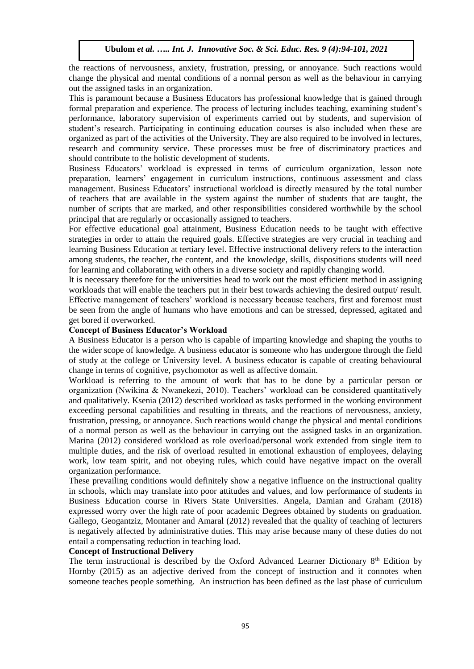the reactions of nervousness, anxiety, frustration, pressing, or annoyance. Such reactions would change the physical and mental conditions of a normal person as well as the behaviour in carrying out the assigned tasks in an organization.

This is paramount because a Business Educators has professional knowledge that is gained through formal preparation and experience. The process of lecturing includes teaching, examining student's performance, laboratory supervision of experiments carried out by students, and supervision of student's research. Participating in continuing education courses is also included when these are organized as part of the activities of the University. They are also required to be involved in lectures, research and community service. These processes must be free of discriminatory practices and should contribute to the holistic development of students.

Business Educators' workload is expressed in terms of curriculum organization, lesson note preparation, learners' engagement in curriculum instructions, continuous assessment and class management. Business Educators' instructional workload is directly measured by the total number of teachers that are available in the system against the number of students that are taught, the number of scripts that are marked, and other responsibilities considered worthwhile by the school principal that are regularly or occasionally assigned to teachers.

For effective educational goal attainment, Business Education needs to be taught with effective strategies in order to attain the required goals. Effective strategies are very crucial in teaching and learning Business Education at tertiary level. Effective instructional delivery refers to the interaction among students, the teacher, the content, and the knowledge, skills, dispositions students will need for learning and collaborating with others in a diverse society and rapidly changing world.

It is necessary therefore for the universities head to work out the most efficient method in assigning workloads that will enable the teachers put in their best towards achieving the desired output/ result. Effective management of teachers' workload is necessary because teachers, first and foremost must be seen from the angle of humans who have emotions and can be stressed, depressed, agitated and get bored if overworked.

#### **Concept of Business Educator's Workload**

A Business Educator is a person who is capable of imparting knowledge and shaping the youths to the wider scope of knowledge. A business educator is someone who has undergone through the field of study at the college or University level. A business educator is capable of creating behavioural change in terms of cognitive, psychomotor as well as affective domain.

Workload is referring to the amount of work that has to be done by a particular person or organization (Nwikina & Nwanekezi, 2010). Teachers' workload can be considered quantitatively and qualitatively. Ksenia (2012) described workload as tasks performed in the working environment exceeding personal capabilities and resulting in threats, and the reactions of nervousness, anxiety, frustration, pressing, or annoyance. Such reactions would change the physical and mental conditions of a normal person as well as the behaviour in carrying out the assigned tasks in an organization. Marina (2012) considered workload as role overload/personal work extended from single item to multiple duties, and the risk of overload resulted in emotional exhaustion of employees, delaying work, low team spirit, and not obeying rules, which could have negative impact on the overall organization performance.

These prevailing conditions would definitely show a negative influence on the instructional quality in schools, which may translate into poor attitudes and values, and low performance of students in Business Education course in Rivers State Universities. Angela, Damian and Graham (2018) expressed worry over the high rate of poor academic Degrees obtained by students on graduation. Gallego, Geogantziz, Montaner and Amaral (2012) revealed that the quality of teaching of lecturers is negatively affected by administrative duties. This may arise because many of these duties do not entail a compensating reduction in teaching load.

#### **Concept of Instructional Delivery**

The term instructional is described by the Oxford Advanced Learner Dictionary 8<sup>th</sup> Edition by Hornby (2015) as an adjective derived from the concept of instruction and it connotes when someone teaches people something. An instruction has been defined as the last phase of curriculum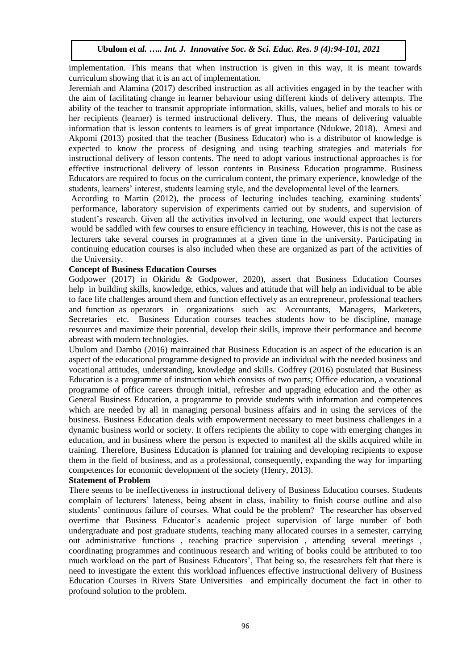implementation. This means that when instruction is given in this way, it is meant towards curriculum showing that it is an act of implementation.

Jeremiah and Alamina (2017) described instruction as all activities engaged in by the teacher with the aim of facilitating change in learner behaviour using different kinds of delivery attempts. The ability of the teacher to transmit appropriate information, skills, values, belief and morals to his or her recipients (learner) is termed instructional delivery. Thus, the means of delivering valuable information that is lesson contents to learners is of great importance (Ndukwe, 2018). Amesi and Akpomi (2013) posited that the teacher (Business Educator) who is a distributor of knowledge is expected to know the process of designing and using teaching strategies and materials for instructional delivery of lesson contents. The need to adopt various instructional approaches is for effective instructional delivery of lesson contents in Business Education programme. Business Educators are required to focus on the curriculum content, the primary experience, knowledge of the students, learners' interest, students learning style, and the developmental level of the learners.

According to Martin (2012), the process of lecturing includes teaching, examining students' performance, laboratory supervision of experiments carried out by students, and supervision of student's research. Given all the activities involved in lecturing, one would expect that lecturers would be saddled with few courses to ensure efficiency in teaching. However, this is not the case as lecturers take several courses in programmes at a given time in the university. Participating in continuing education courses is also included when these are organized as part of the activities of the University.

### **Concept of Business Education Courses**

Godpower (2017) in Okiridu & Godpower, 2020), assert that Business Education Courses help in building skills, knowledge, ethics, values and attitude that will help an individual to be able to face life challenges around them and function effectively as an entrepreneur, professional teachers and function as operators in organizations such as: Accountants, Managers, Marketers, Secretaries etc. Business Education courses teaches students how to be discipline, manage resources and maximize their potential, develop their skills, improve their performance and become abreast with modern technologies.

Ubulom and Dambo (2016) maintained that Business Education is an aspect of the education is an aspect of the educational programme designed to provide an individual with the needed business and vocational attitudes, understanding, knowledge and skills. Godfrey (2016) postulated that Business Education is a programme of instruction which consists of two parts; Office education, a vocational programme of office careers through initial, refresher and upgrading education and the other as General Business Education, a programme to provide students with information and competences which are needed by all in managing personal business affairs and in using the services of the business. Business Education deals with empowerment necessary to meet business challenges in a dynamic business world or society. It offers recipients the ability to cope with emerging changes in education, and in business where the person is expected to manifest all the skills acquired while in training. Therefore, Business Education is planned for training and developing recipients to expose them in the field of business, and as a professional, consequently, expanding the way for imparting competences for economic development of the society (Henry, 2013).

### **Statement of Problem**

There seems to be ineffectiveness in instructional delivery of Business Education courses. Students complain of lecturers' lateness, being absent in class, inability to finish course outline and also students' continuous failure of courses. What could be the problem? The researcher has observed overtime that Business Educator's academic project supervision of large number of both undergraduate and post graduate students, teaching many allocated courses in a semester, carrying out administrative functions , teaching practice supervision , attending several meetings , coordinating programmes and continuous research and writing of books could be attributed to too much workload on the part of Business Educators', That being so, the researchers felt that there is need to investigate the extent this workload influences effective instructional delivery of Business Education Courses in Rivers State Universities and empirically document the fact in other to profound solution to the problem.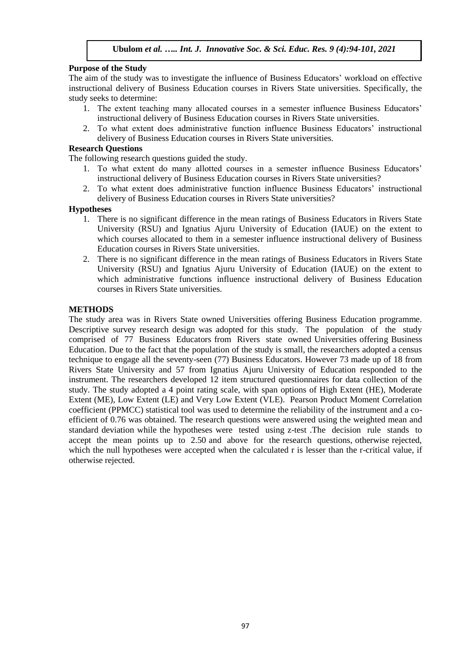# **Purpose of the Study**

The aim of the study was to investigate the influence of Business Educators' workload on effective instructional delivery of Business Education courses in Rivers State universities. Specifically, the study seeks to determine:

- 1. The extent teaching many allocated courses in a semester influence Business Educators' instructional delivery of Business Education courses in Rivers State universities.
- 2. To what extent does administrative function influence Business Educators' instructional delivery of Business Education courses in Rivers State universities.

# **Research Questions**

The following research questions guided the study.

- 1. To what extent do many allotted courses in a semester influence Business Educators' instructional delivery of Business Education courses in Rivers State universities?
- 2. To what extent does administrative function influence Business Educators' instructional delivery of Business Education courses in Rivers State universities?

## **Hypotheses**

- 1. There is no significant difference in the mean ratings of Business Educators in Rivers State University (RSU) and Ignatius Ajuru University of Education (IAUE) on the extent to which courses allocated to them in a semester influence instructional delivery of Business Education courses in Rivers State universities.
- 2. There is no significant difference in the mean ratings of Business Educators in Rivers State University (RSU) and Ignatius Ajuru University of Education (IAUE) on the extent to which administrative functions influence instructional delivery of Business Education courses in Rivers State universities.

# **METHODS**

The study area was in Rivers State owned Universities offering Business Education programme. Descriptive survey research design was adopted for this study. The population of the study comprised of 77 Business Educators from Rivers state owned Universities offering Business Education. Due to the fact that the population of the study is small, the researchers adopted a census technique to engage all the seventy-seen (77) Business Educators. However 73 made up of 18 from Rivers State University and 57 from Ignatius Ajuru University of Education responded to the instrument. The researchers developed 12 item structured questionnaires for data collection of the study. The study adopted a 4 point rating scale, with span options of High Extent (HE), Moderate Extent (ME), Low Extent (LE) and Very Low Extent (VLE). Pearson Product Moment Correlation coefficient (PPMCC) statistical tool was used to determine the reliability of the instrument and a coefficient of 0.76 was obtained. The research questions were answered using the weighted mean and standard deviation while the hypotheses were tested using z-test .The decision rule stands to accept the mean points up to 2.50 and above for the research questions, otherwise rejected, which the null hypotheses were accepted when the calculated r is lesser than the r-critical value, if otherwise rejected.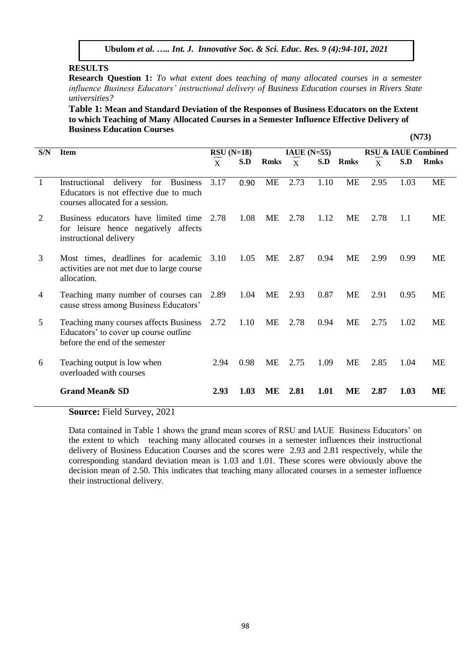## **RESULTS**

**Research Question 1:** *To what extent does teaching of many allocated courses in a semester influence Business Educators' instructional delivery of Business Education courses in Rivers State universities?*

**Table 1: Mean and Standard Deviation of the Responses of Business Educators on the Extent to which Teaching of Many Allocated Courses in a Semester Influence Effective Delivery of Business Education Courses (N73)**

| S/N            | <b>Item</b>                                                                                                       | $RSU(N=18)$ |      | IAUE $(N=55)$ |              |      |             | <b>RSU &amp; IAUE Combined</b> |      |             |
|----------------|-------------------------------------------------------------------------------------------------------------------|-------------|------|---------------|--------------|------|-------------|--------------------------------|------|-------------|
|                |                                                                                                                   | X           | S.D  | <b>Rmks</b>   | $\mathbf{X}$ | S.D  | <b>Rmks</b> | $\mathbf{X}$                   | S.D  | <b>Rmks</b> |
| $\overline{1}$ | Instructional<br>delivery<br>for<br><b>Business</b>                                                               | 3.17        | 0.90 | ME            | 2.73         | 1.10 | <b>ME</b>   | 2.95                           | 1.03 | <b>ME</b>   |
|                | Educators is not effective due to much<br>courses allocated for a session.                                        |             |      |               |              |      |             |                                |      |             |
| 2              | Business educators have limited time<br>for leisure hence negatively affects<br>instructional delivery            | 2.78        | 1.08 | <b>ME</b>     | 2.78         | 1.12 | <b>ME</b>   | 2.78                           | 1.1  | ME          |
| 3              | Most times, deadlines for academic<br>activities are not met due to large course<br>allocation.                   | 3.10        | 1.05 | ME            | 2.87         | 0.94 | ME          | 2.99                           | 0.99 | <b>ME</b>   |
| 4              | Teaching many number of courses can<br>cause stress among Business Educators'                                     | 2.89        | 1.04 | ME            | 2.93         | 0.87 | <b>ME</b>   | 2.91                           | 0.95 | <b>ME</b>   |
| 5              | Teaching many courses affects Business<br>Educators' to cover up course outline<br>before the end of the semester |             | 1.10 | ME            | 2.78         | 0.94 | <b>ME</b>   | 2.75                           | 1.02 | <b>ME</b>   |
| 6              | Teaching output is low when<br>overloaded with courses                                                            | 2.94        | 0.98 | <b>ME</b>     | 2.75         | 1.09 | <b>ME</b>   | 2.85                           | 1.04 | <b>ME</b>   |
|                | <b>Grand Mean &amp; SD</b>                                                                                        | 2.93        | 1.03 | ME            | 2.81         | 1.01 | ME          | 2.87                           | 1.03 | ME          |

**Source:** Field Survey, 2021

Data contained in Table 1 shows the grand mean scores of RSU and IAUE Business Educators' on the extent to which teaching many allocated courses in a semester influences their instructional delivery of Business Education Courses and the scores were 2.93 and 2.81 respectively, while the corresponding standard deviation mean is 1.03 and 1.01. These scores were obviously above the decision mean of 2.50. This indicates that teaching many allocated courses in a semester influence their instructional delivery.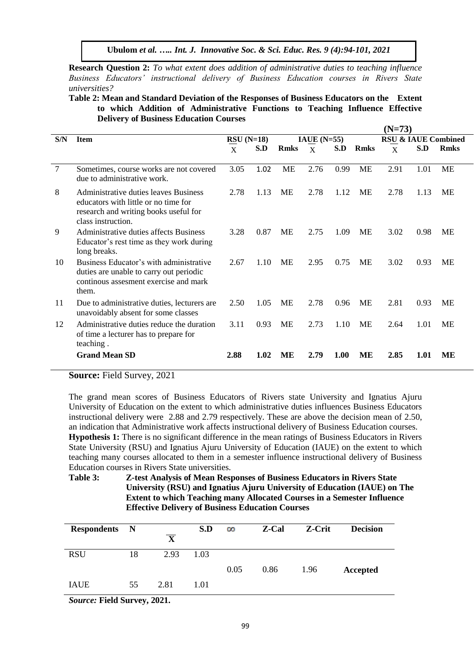**Research Question 2:** *To what extent does addition of administrative duties to teaching influence Business Educators' instructional delivery of Business Education courses in Rivers State universities?*

**Table 2: Mean and Standard Deviation of the Responses of Business Educators on the Extent to which Addition of Administrative Functions to Teaching Influence Effective Delivery of Business Education Courses**

**(N=73)** 

|                |                                                                                                                                              |             |      | $(N=13)$      |                |             |             |                                |      |             |
|----------------|----------------------------------------------------------------------------------------------------------------------------------------------|-------------|------|---------------|----------------|-------------|-------------|--------------------------------|------|-------------|
| S/N            | <b>Item</b>                                                                                                                                  | $RSU(N=18)$ |      | $IAUE$ (N=55) |                |             |             | <b>RSU &amp; IAUE Combined</b> |      |             |
|                |                                                                                                                                              | X           | S.D  | <b>Rmks</b>   | $\overline{X}$ | S.D         | <b>Rmks</b> | X                              | S.D  | <b>Rmks</b> |
|                |                                                                                                                                              |             |      |               |                |             |             |                                |      |             |
| $\overline{7}$ | Sometimes, course works are not covered<br>due to administrative work.                                                                       | 3.05        | 1.02 | <b>ME</b>     | 2.76           | 0.99        | <b>ME</b>   | 2.91                           | 1.01 | <b>ME</b>   |
| 8              | Administrative duties leaves Business<br>educators with little or no time for<br>research and writing books useful for<br>class instruction. | 2.78        | 1.13 | ME            | 2.78           | 1.12        | ME          | 2.78                           | 1.13 | ME          |
| 9              | Administrative duties affects Business<br>Educator's rest time as they work during<br>long breaks.                                           | 3.28        | 0.87 | <b>ME</b>     | 2.75           | 1.09        | ME          | 3.02                           | 0.98 | ME          |
| 10             | Business Educator's with administrative<br>duties are unable to carry out periodic<br>continous assesment exercise and mark<br>them.         | 2.67        | 1.10 | ME            | 2.95           | 0.75        | ME          | 3.02                           | 0.93 | МE          |
| 11             | Due to administrative duties, lecturers are.<br>unavoidably absent for some classes                                                          | 2.50        | 1.05 | ME            | 2.78           | 0.96        | ME          | 2.81                           | 0.93 | ME          |
| 12             | Administrative duties reduce the duration<br>of time a lecturer has to prepare for<br>teaching.                                              | 3.11        | 0.93 | ME            | 2.73           | 1.10        | ME          | 2.64                           | 1.01 | ME          |
|                | <b>Grand Mean SD</b>                                                                                                                         | 2.88        | 1.02 | ME            | 2.79           | <b>1.00</b> | ME          | 2.85                           | 1.01 | ME          |

**Source:** Field Survey, 2021

The grand mean scores of Business Educators of Rivers state University and Ignatius Ajuru University of Education on the extent to which administrative duties influences Business Educators instructional delivery were 2.88 and 2.79 respectively. These are above the decision mean of 2.50, an indication that Administrative work affects instructional delivery of Business Education courses. **Hypothesis 1:** There is no significant difference in the mean ratings of Business Educators in Rivers State University (RSU) and Ignatius Ajuru University of Education (IAUE) on the extent to which teaching many courses allocated to them in a semester influence instructional delivery of Business Education courses in Rivers State universities.

**Table 3: Z-test Analysis of Mean Responses of Business Educators in Rivers State University (RSU) and Ignatius Ajuru University of Education (IAUE) on The Extent to which Teaching many Allocated Courses in a Semester Influence Effective Delivery of Business Education Courses**

| <b>Respondents</b> N |    | $\overline{\mathbf{X}}$ | S.D  | $\infty$ | Z-Cal | Z-Crit | <b>Decision</b> |
|----------------------|----|-------------------------|------|----------|-------|--------|-----------------|
| <b>RSU</b>           | 18 | 2.93                    | 1.03 |          |       |        |                 |
| <b>IAUE</b>          | 55 | 2.81                    | 1.01 | 0.05     | 0.86  | 1.96   | Accepted        |

*Source:* **Field Survey, 2021.**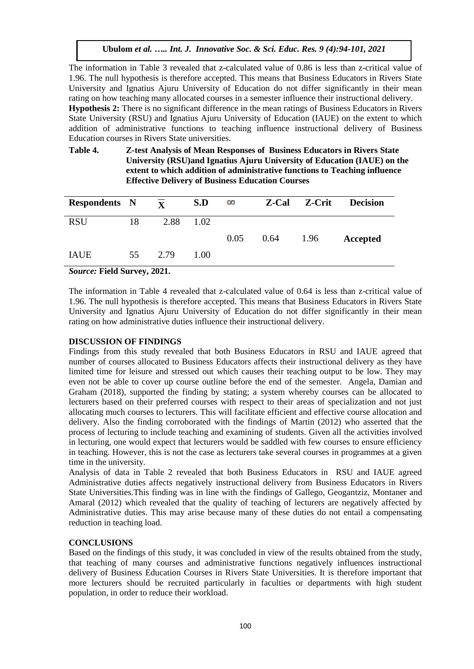The information in Table 3 revealed that z-calculated value of 0.86 is less than z-critical value of 1.96. The null hypothesis is therefore accepted. This means that Business Educators in Rivers State University and Ignatius Ajuru University of Education do not differ significantly in their mean rating on how teaching many allocated courses in a semester influence their instructional delivery. **Hypothesis 2:** There is no significant difference in the mean ratings of Business Educators in Rivers State University (RSU) and Ignatius Ajuru University of Education (IAUE) on the extent to which addition of administrative functions to teaching influence instructional delivery of Business Education courses in Rivers State universities.

# **Table 4. Z-test Analysis of Mean Responses of Business Educators in Rivers State University (RSU)and Ignatius Ajuru University of Education (IAUE) on the extent to which addition of administrative functions to Teaching influence Effective Delivery of Business Education Courses**

| <b>Respondents</b> N |    | $\overline{\mathbf{x}}$ | S.D  | $\infty$ |      | <b>Z-Cal Z-Crit</b> | <b>Decision</b> |
|----------------------|----|-------------------------|------|----------|------|---------------------|-----------------|
| <b>RSU</b>           | 18 | 2.88                    | 1.02 |          |      |                     |                 |
|                      |    |                         |      | 0.05     | 0.64 | 1.96                | Accepted        |
| <b>IAUE</b>          | 55 | 2.79                    | 1.00 |          |      |                     |                 |
|                      |    | - - - -                 |      |          |      |                     |                 |

*Source:* **Field Survey, 2021.**

The information in Table 4 revealed that z-calculated value of 0.64 is less than z-critical value of 1.96. The null hypothesis is therefore accepted. This means that Business Educators in Rivers State University and Ignatius Ajuru University of Education do not differ significantly in their mean rating on how administrative duties influence their instructional delivery.

# **DISCUSSION OF FINDINGS**

Findings from this study revealed that both Business Educators in RSU and IAUE agreed that number of courses allocated to Business Educators affects their instructional delivery as they have limited time for leisure and stressed out which causes their teaching output to be low. They may even not be able to cover up course outline before the end of the semester. Angela, Damian and Graham (2018), supported the finding by stating; a system whereby courses can be allocated to lecturers based on their preferred courses with respect to their areas of specialization and not just allocating much courses to lecturers. This will facilitate efficient and effective course allocation and delivery. Also the finding corroborated with the findings of Martin (2012) who asserted that the process of lecturing to include teaching and examining of students. Given all the activities involved in lecturing, one would expect that lecturers would be saddled with few courses to ensure efficiency in teaching. However, this is not the case as lecturers take several courses in programmes at a given time in the university.

Analysis of data in Table 2 revealed that both Business Educators in RSU and IAUE agreed Administrative duties affects negatively instructional delivery from Business Educators in Rivers State Universities.This finding was in line with the findings of Gallego, Geogantziz, Montaner and Amaral (2012) which revealed that the quality of teaching of lecturers are negatively affected by Administrative duties. This may arise because many of these duties do not entail a compensating reduction in teaching load.

# **CONCLUSIONS**

Based on the findings of this study, it was concluded in view of the results obtained from the study, that teaching of many courses and administrative functions negatively influences instructional delivery of Business Education Courses in Rivers State Universities. It is therefore important that more lecturers should be recruited particularly in faculties or departments with high student population, in order to reduce their workload.